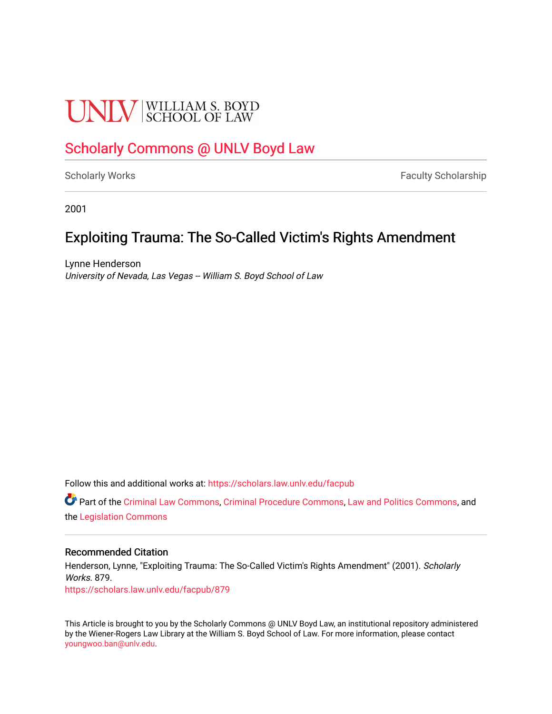### **UNIV** SCHOOL OF LAW

#### [Scholarly Commons @ UNLV Boyd Law](https://scholars.law.unlv.edu/)

[Scholarly Works](https://scholars.law.unlv.edu/facpub) **Faculty Scholarship** Faculty Scholarship

2001

#### Exploiting Trauma: The So-Called Victim's Rights Amendment

Lynne Henderson University of Nevada, Las Vegas -- William S. Boyd School of Law

Follow this and additional works at: [https://scholars.law.unlv.edu/facpub](https://scholars.law.unlv.edu/facpub?utm_source=scholars.law.unlv.edu%2Ffacpub%2F879&utm_medium=PDF&utm_campaign=PDFCoverPages)

Part of the [Criminal Law Commons,](http://network.bepress.com/hgg/discipline/912?utm_source=scholars.law.unlv.edu%2Ffacpub%2F879&utm_medium=PDF&utm_campaign=PDFCoverPages) [Criminal Procedure Commons,](http://network.bepress.com/hgg/discipline/1073?utm_source=scholars.law.unlv.edu%2Ffacpub%2F879&utm_medium=PDF&utm_campaign=PDFCoverPages) [Law and Politics Commons](http://network.bepress.com/hgg/discipline/867?utm_source=scholars.law.unlv.edu%2Ffacpub%2F879&utm_medium=PDF&utm_campaign=PDFCoverPages), and the [Legislation Commons](http://network.bepress.com/hgg/discipline/859?utm_source=scholars.law.unlv.edu%2Ffacpub%2F879&utm_medium=PDF&utm_campaign=PDFCoverPages) 

#### Recommended Citation

Henderson, Lynne, "Exploiting Trauma: The So-Called Victim's Rights Amendment" (2001). Scholarly Works. 879. [https://scholars.law.unlv.edu/facpub/879](https://scholars.law.unlv.edu/facpub/879?utm_source=scholars.law.unlv.edu%2Ffacpub%2F879&utm_medium=PDF&utm_campaign=PDFCoverPages)

This Article is brought to you by the Scholarly Commons @ UNLV Boyd Law, an institutional repository administered by the Wiener-Rogers Law Library at the William S. Boyd School of Law. For more information, please contact [youngwoo.ban@unlv.edu.](mailto:youngwoo.ban@unlv.edu)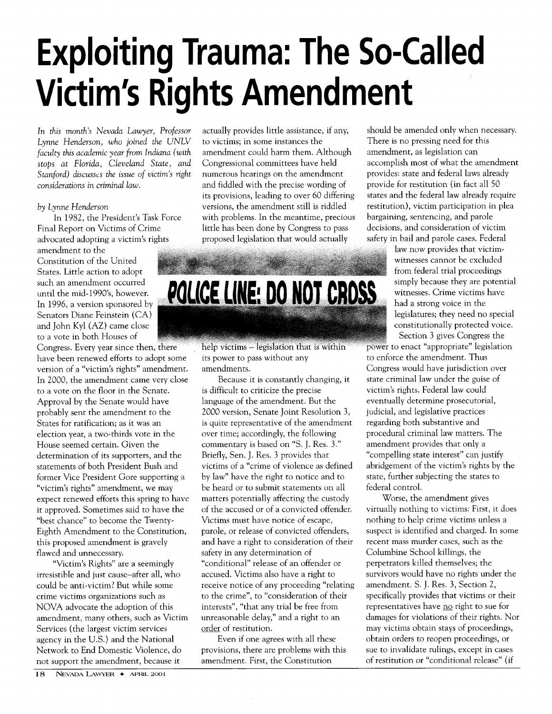## **Exploiting Trauma: The So-Called Victim's Rights Amendment**

*In this month's Nevada Lawyer, Professor Lynne Henderson, who joined the UNLV faculty this academic year from Indiana (with stops at Florida, Cleveland State, and Stanford) discusscs the issue of victim's right considerations in criminal law.*

#### *by Lynne Henderson*

In 1982, the President's Task Force Final Report on Victims of Crime advocated adopting a victim's rights

amendment to the Constitution of the United States. Little action to adopt such an amendment occurred In 1996, a version sponsored by Senators Diane Feinstein (CA) and John Kyl (AZ) came close to a vote in both Houses of

Congress. Every year since then, there have been renewed efforts to adopt some version of a "victim's rights" amendment. In 2000, the amendment came very close to a vote on the floor in the Senate. Approval by the Senate would have probably sent the amendment to the States for ratification; as it was an election year, a two-thirds vote in the House seemed certain. Given the determination of its supporters, and the statements of both President Bush and former Vice President Gore supporting a "victim's rights" amendment, we may expect renewed efforts this spring to have it approved. Sometimes said to have the "best chance" to become the Twenty-Eighth Amendment to the Constitution, this proposed amendment is gravely flawed and unnecessary.

"Victim's Rights" are a seemingly irresistible and just cause-after all, who could be anti-victim? But while some crime victims organizations such as NOVA advocate the adoption of this amendment, many others, such as Victim Services (the largest victim services agency in the U.S.) and the National Network to End Domestic Violence, do not support the amendment, because it

actually provides little assistance, if any, to victims; in some instances the amendment could harm them. Although Congressional committees have held numerous hearings on the amendment and fiddled with the precise wording of its provisions, leading to over 60 differing versions, the amendment still is riddled with problems. In the meantime, precious little has been done by Congress to pass proposed legislation that would actually

# such an amendment occurred<br>Unitid the mid-1990's, however. **POLICE LINE: DO NOT CROSS**

help victims - legislation that is within its power to pass without any amendments.

Because it is constantly changing, it is difficult to criticize the precise language of the amendment. But the 2000 version, Senate Joint Resolution 3, is quite representative of the amendment over time; accordingly, the following commentary is based on "S. J. Res. 3." Briefly, Sen. **J.** Res. 3 provides that victims of a "crime of violence as defined by law" have the right to notice and to be heard or to submit statements on all matters potentially affecting the custody of the accused or of a convicted offender. Victims must have notice of escape, parole, or release of convicted offenders, and have a right to consideration of their safety in any determination of "conditional" release of an offender or accused. Victims also have a right to receive notice of any proceeding "relating to the crime", to "consideration of their interests", "that any trial be free from unreasonable delay," and a right to an order of restitution.

Even if one agrees with all these provisions, there are problems with this amendment. First, the Constitution

should be amended only when necessary. There is no pressing need for this amendment, as legislation can accomplish most of what the amendment provides: state and federal laws already provide for restitution (in fact all 50 states and the federal law already require restitution), victim participation in plea bargaining, sentencing, and parole decisions, and consideration of victim safety in bail and parole cases. Federal

law now provides that victimwitnesses cannot be excluded from federal trial proceedings simply because they are potential witnesses. Crime victims have had a strong voice in the legislatures; they need no special constitutionally protected voice. Section 3 gives Congress the

power to enact "appropriate" legislation to enforce the amendment. Thus Congress would have jurisdiction over state criminal law under the guise of victim's rights. Federal law could eventually determine prosecutorial, judicial, and legislative practices regarding both substantive and procedural criminal law matters. The amendment provides that only a "compelling state interest" can justify abridgement of the victim's rights by the state, further subjecting the states to federal control.

Worse, the amendment gives virtually nothing to victims: First, it does nothing to help crime victims unless a suspect is identified and charged. In some recent mass murder cases, such as the Columbine School killings, the perpetrators killed themselves; the survivors would have no rights under the amendment. S. J. Res. 3, Section 2, specifically provides that victims or their representatives have no right to sue for damages for violations of their rights. Nor may victims obtain stays of proceedings, obtain orders to reopen proceedings, or sue to invalidate rulings, except in cases of restitution or "conditional release" (if